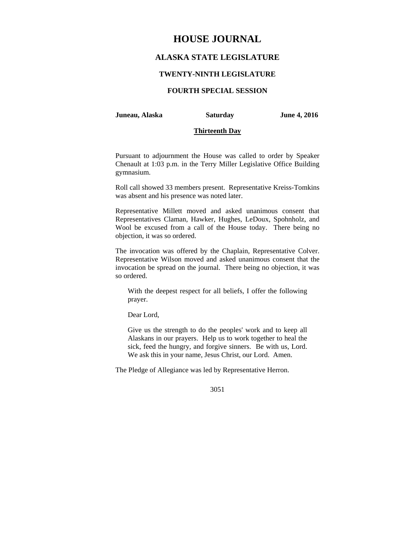# **HOUSE JOURNAL**

# **ALASKA STATE LEGISLATURE**

### **TWENTY-NINTH LEGISLATURE**

# **FOURTH SPECIAL SESSION**

#### **Juneau, Alaska Saturday June 4, 2016**

#### **Thirteenth Day**

Pursuant to adjournment the House was called to order by Speaker Chenault at 1:03 p.m. in the Terry Miller Legislative Office Building gymnasium.

Roll call showed 33 members present. Representative Kreiss-Tomkins was absent and his presence was noted later.

Representative Millett moved and asked unanimous consent that Representatives Claman, Hawker, Hughes, LeDoux, Spohnholz, and Wool be excused from a call of the House today. There being no objection, it was so ordered.

The invocation was offered by the Chaplain, Representative Colver. Representative Wilson moved and asked unanimous consent that the invocation be spread on the journal. There being no objection, it was so ordered.

With the deepest respect for all beliefs, I offer the following prayer.

Dear Lord,

Give us the strength to do the peoples' work and to keep all Alaskans in our prayers. Help us to work together to heal the sick, feed the hungry, and forgive sinners. Be with us, Lord. We ask this in your name, Jesus Christ, our Lord. Amen.

The Pledge of Allegiance was led by Representative Herron.

3051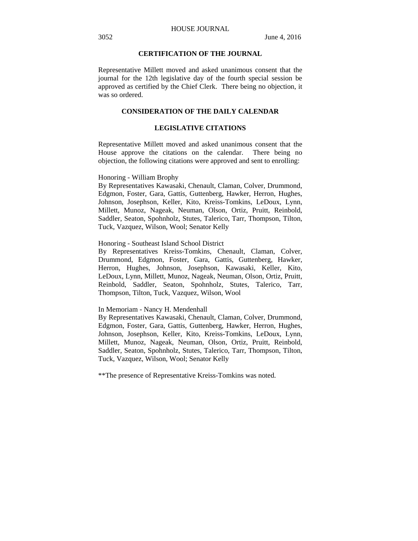### **CERTIFICATION OF THE JOURNAL**

Representative Millett moved and asked unanimous consent that the journal for the 12th legislative day of the fourth special session be approved as certified by the Chief Clerk. There being no objection, it was so ordered.

### **CONSIDERATION OF THE DAILY CALENDAR**

### **LEGISLATIVE CITATIONS**

Representative Millett moved and asked unanimous consent that the House approve the citations on the calendar. There being no objection, the following citations were approved and sent to enrolling:

#### Honoring - William Brophy

By Representatives Kawasaki, Chenault, Claman, Colver, Drummond, Edgmon, Foster, Gara, Gattis, Guttenberg, Hawker, Herron, Hughes, Johnson, Josephson, Keller, Kito, Kreiss-Tomkins, LeDoux, Lynn, Millett, Munoz, Nageak, Neuman, Olson, Ortiz, Pruitt, Reinbold, Saddler, Seaton, Spohnholz, Stutes, Talerico, Tarr, Thompson, Tilton, Tuck, Vazquez, Wilson, Wool; Senator Kelly

#### Honoring - Southeast Island School District

By Representatives Kreiss-Tomkins, Chenault, Claman, Colver, Drummond, Edgmon, Foster, Gara, Gattis, Guttenberg, Hawker, Herron, Hughes, Johnson, Josephson, Kawasaki, Keller, Kito, LeDoux, Lynn, Millett, Munoz, Nageak, Neuman, Olson, Ortiz, Pruitt, Reinbold, Saddler, Seaton, Spohnholz, Stutes, Talerico, Tarr, Thompson, Tilton, Tuck, Vazquez, Wilson, Wool

#### In Memoriam - Nancy H. Mendenhall

By Representatives Kawasaki, Chenault, Claman, Colver, Drummond, Edgmon, Foster, Gara, Gattis, Guttenberg, Hawker, Herron, Hughes, Johnson, Josephson, Keller, Kito, Kreiss-Tomkins, LeDoux, Lynn, Millett, Munoz, Nageak, Neuman, Olson, Ortiz, Pruitt, Reinbold, Saddler, Seaton, Spohnholz, Stutes, Talerico, Tarr, Thompson, Tilton, Tuck, Vazquez, Wilson, Wool; Senator Kelly

\*\*The presence of Representative Kreiss-Tomkins was noted.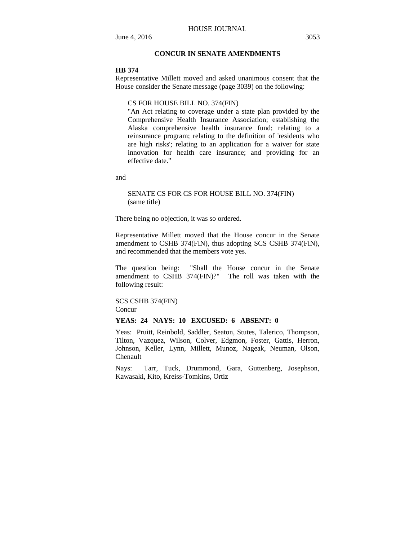### **CONCUR IN SENATE AMENDMENTS**

#### **HB 374**

Representative Millett moved and asked unanimous consent that the House consider the Senate message (page 3039) on the following:

#### CS FOR HOUSE BILL NO. 374(FIN)

"An Act relating to coverage under a state plan provided by the Comprehensive Health Insurance Association; establishing the Alaska comprehensive health insurance fund; relating to a reinsurance program; relating to the definition of 'residents who are high risks'; relating to an application for a waiver for state innovation for health care insurance; and providing for an effective date."

and

### SENATE CS FOR CS FOR HOUSE BILL NO. 374(FIN) (same title)

There being no objection, it was so ordered.

Representative Millett moved that the House concur in the Senate amendment to CSHB 374(FIN), thus adopting SCS CSHB 374(FIN), and recommended that the members vote yes.

The question being: "Shall the House concur in the Senate amendment to CSHB 374(FIN)?" The roll was taken with the following result:

### SCS CSHB 374(FIN) **Concur**

#### **YEAS: 24 NAYS: 10 EXCUSED: 6 ABSENT: 0**

Yeas: Pruitt, Reinbold, Saddler, Seaton, Stutes, Talerico, Thompson, Tilton, Vazquez, Wilson, Colver, Edgmon, Foster, Gattis, Herron, Johnson, Keller, Lynn, Millett, Munoz, Nageak, Neuman, Olson, Chenault

Nays: Tarr, Tuck, Drummond, Gara, Guttenberg, Josephson, Kawasaki, Kito, Kreiss-Tomkins, Ortiz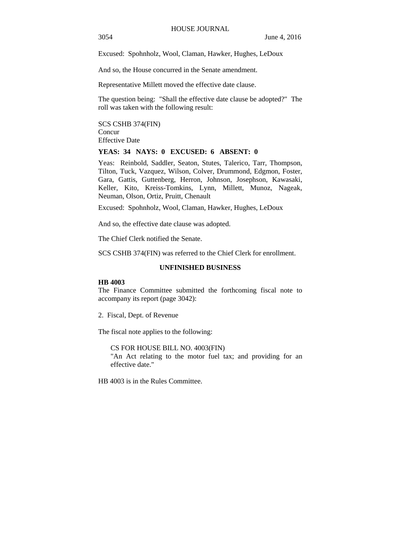3054 June 4, 2016

Excused: Spohnholz, Wool, Claman, Hawker, Hughes, LeDoux

And so, the House concurred in the Senate amendment.

Representative Millett moved the effective date clause.

The question being: "Shall the effective date clause be adopted?" The roll was taken with the following result:

SCS CSHB 374(FIN) Concur Effective Date

### **YEAS: 34 NAYS: 0 EXCUSED: 6 ABSENT: 0**

Yeas: Reinbold, Saddler, Seaton, Stutes, Talerico, Tarr, Thompson, Tilton, Tuck, Vazquez, Wilson, Colver, Drummond, Edgmon, Foster, Gara, Gattis, Guttenberg, Herron, Johnson, Josephson, Kawasaki, Keller, Kito, Kreiss-Tomkins, Lynn, Millett, Munoz, Nageak, Neuman, Olson, Ortiz, Pruitt, Chenault

Excused: Spohnholz, Wool, Claman, Hawker, Hughes, LeDoux

And so, the effective date clause was adopted.

The Chief Clerk notified the Senate.

SCS CSHB 374(FIN) was referred to the Chief Clerk for enrollment.

### **UNFINISHED BUSINESS**

### **HB 4003**

The Finance Committee submitted the forthcoming fiscal note to accompany its report (page 3042):

2. Fiscal, Dept. of Revenue

The fiscal note applies to the following:

CS FOR HOUSE BILL NO. 4003(FIN) "An Act relating to the motor fuel tax; and providing for an effective date."

HB 4003 is in the Rules Committee.